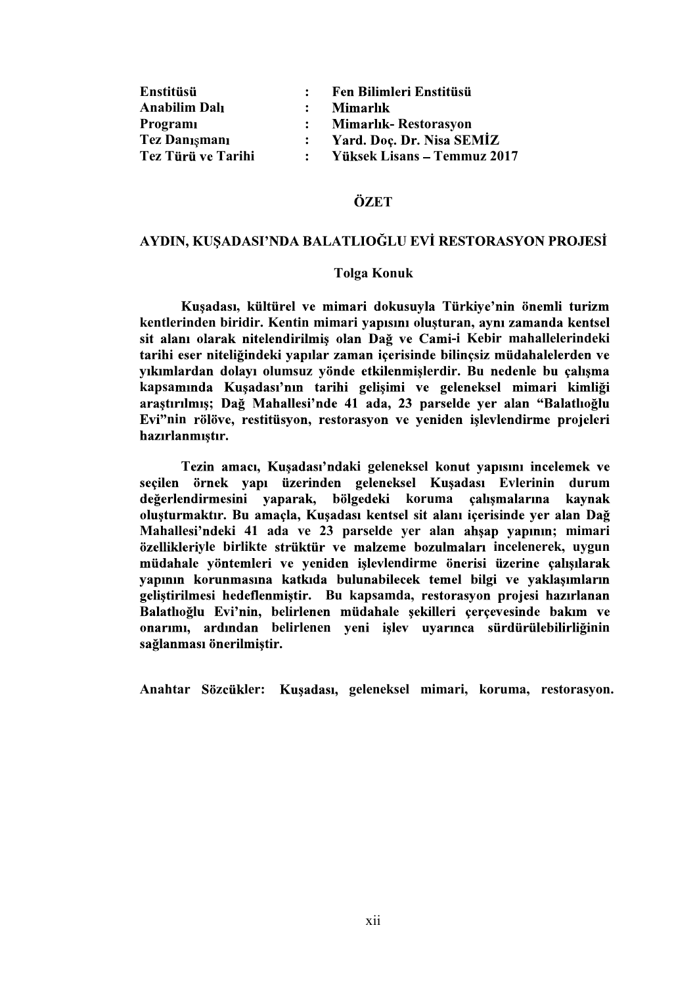| Enstitüsü            |                | Fen Bilimleri Enstitüsü      |
|----------------------|----------------|------------------------------|
| <b>Anabilim Dalı</b> | $\ddot{\cdot}$ | Mimarlık                     |
| Programi             |                | <b>Mimarlik- Restorasyon</b> |
| <b>Tez Danismani</b> |                | : Yard. Doç. Dr. Nisa SEMİZ  |
| Tez Türü ve Tarihi   |                | Yüksek Lisans – Temmuz 2017  |

# ÖZET

## AYDIN, KUSADASI'NDA BALATLIOĞLU EVİ RESTORASYON PROJESİ

#### Tolga Konuk

Kuşadası, kültürel ve mimari dokusuyla Türkiye'nin önemli turizm<br>kentlerinden biridir. Kentin mimari yapısını oluşturan, aynı zamanda kentsel sit alanı olarak nitelendirilmiş olan Dağ ve Cami-i Kebir mahallelerindeki tarihi eser niteliğindeki vapılar zaman içerisinde bilinçsiz müdahalelerden ve yıkımlardan dolayı olumsuz yönde etkilenmişlerdir. Bu nedenle bu çalışma kapsamında Kuşadası'nın tarihi gelişimi ve geleneksel mimari kimliği araştırılmış; Dağ Mahallesi'nde 41 ada, 23 parselde yer alan "Balatlıoğlu Evi"nin rölöve, restitüsyon, restorasyon ve veniden islevlendirme projeleri hazırlanmıstır.

Tezin amacı, Kuşadası'ndaki geleneksel konut yapısını incelemek ve secilen örnek vapı üzerinden geleneksel Kusadası Evlerinin durum bölgedeki koruma çalışmalarına değerlendirmesini yaparak, kavnak oluşturmaktır. Bu amaçla, Kuşadası kentsel sit alanı içerisinde yer alan Dağ Mahallesi'ndeki 41 ada ve 23 parselde yer alan ahşap yapının; mimari özelliklerivle birlikte strüktür ve malzeme bozulmaları incelenerek, uygun müdahale vöntemleri ve yeniden işlevlendirme önerisi üzerine çalışılarak yapının korunmasına katkıda bulunabilecek temel bilgi ve yaklaşımların gelistirilmesi hedeflenmistir. Bu kapsamda, restorasyon projesi hazırlanan Balatlıoğlu Evi'nin, belirlenen müdahale şekilleri çerçevesinde bakım ve onarımı, ardından belirlenen yeni işlev uyarınca sürdürülebilirliğinin .

Anahtar Sözcükler: Kusadası, geleneksel mimari, koruma, restorasyon.